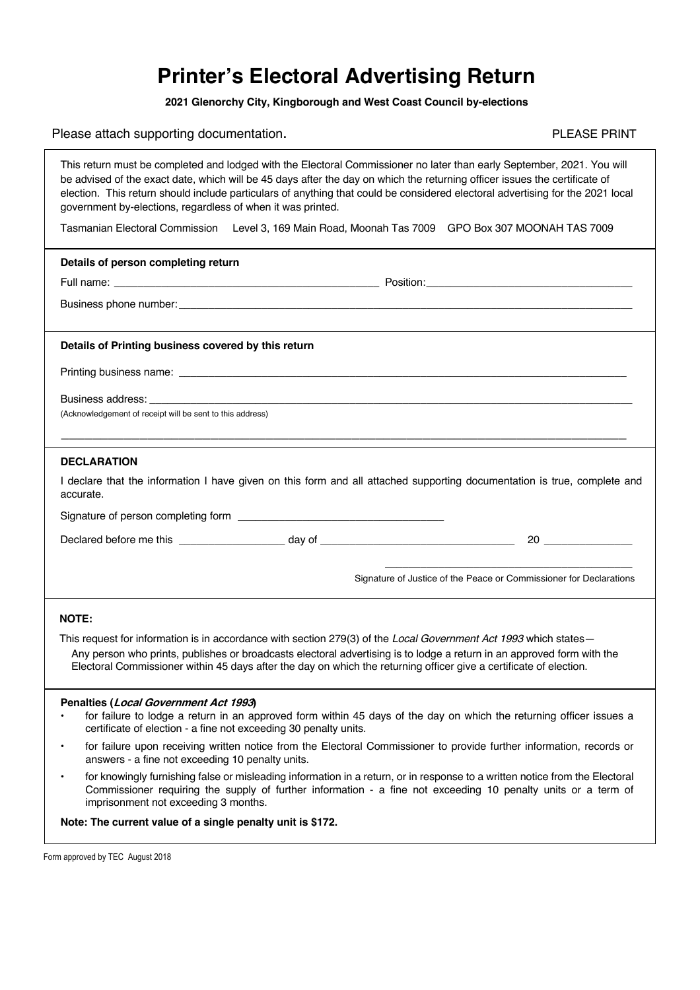## **Printer's Electoral Advertising Return**

**2021 Glenorchy City, Kingborough and West Coast Council by-elections**

Please attach supporting documentation.<br>
Please attach supporting documentation.

|                                                                                                                                                                                                                                                                                                                                                                                                                                                       | <u>icasc allacii supporting accurrichtation.</u>                                                                                                                                                                                                                                     |  |  |  |  |  |  |  |
|-------------------------------------------------------------------------------------------------------------------------------------------------------------------------------------------------------------------------------------------------------------------------------------------------------------------------------------------------------------------------------------------------------------------------------------------------------|--------------------------------------------------------------------------------------------------------------------------------------------------------------------------------------------------------------------------------------------------------------------------------------|--|--|--|--|--|--|--|
| This return must be completed and lodged with the Electoral Commissioner no later than early September, 2021. You will<br>be advised of the exact date, which will be 45 days after the day on which the returning officer issues the certificate of<br>election. This return should include particulars of anything that could be considered electoral advertising for the 2021 local<br>government by-elections, regardless of when it was printed. |                                                                                                                                                                                                                                                                                      |  |  |  |  |  |  |  |
|                                                                                                                                                                                                                                                                                                                                                                                                                                                       | Tasmanian Electoral Commission Level 3, 169 Main Road, Moonah Tas 7009 GPO Box 307 MOONAH TAS 7009                                                                                                                                                                                   |  |  |  |  |  |  |  |
|                                                                                                                                                                                                                                                                                                                                                                                                                                                       | Details of person completing return                                                                                                                                                                                                                                                  |  |  |  |  |  |  |  |
|                                                                                                                                                                                                                                                                                                                                                                                                                                                       |                                                                                                                                                                                                                                                                                      |  |  |  |  |  |  |  |
|                                                                                                                                                                                                                                                                                                                                                                                                                                                       |                                                                                                                                                                                                                                                                                      |  |  |  |  |  |  |  |
| Details of Printing business covered by this return                                                                                                                                                                                                                                                                                                                                                                                                   |                                                                                                                                                                                                                                                                                      |  |  |  |  |  |  |  |
|                                                                                                                                                                                                                                                                                                                                                                                                                                                       |                                                                                                                                                                                                                                                                                      |  |  |  |  |  |  |  |
|                                                                                                                                                                                                                                                                                                                                                                                                                                                       |                                                                                                                                                                                                                                                                                      |  |  |  |  |  |  |  |
|                                                                                                                                                                                                                                                                                                                                                                                                                                                       | (Acknowledgement of receipt will be sent to this address)<br>,我们也不能在这里的时候,我们也不能在这里的时候,我们也不能会不能会不能会不能会不能会不能会不能会不能会。""我们的人们,我们也不能会不能会不能会不能会不能会不                                                                                                                                        |  |  |  |  |  |  |  |
|                                                                                                                                                                                                                                                                                                                                                                                                                                                       | <b>DECLARATION</b>                                                                                                                                                                                                                                                                   |  |  |  |  |  |  |  |
| I declare that the information I have given on this form and all attached supporting documentation is true, complete and<br>accurate.                                                                                                                                                                                                                                                                                                                 |                                                                                                                                                                                                                                                                                      |  |  |  |  |  |  |  |
|                                                                                                                                                                                                                                                                                                                                                                                                                                                       |                                                                                                                                                                                                                                                                                      |  |  |  |  |  |  |  |
|                                                                                                                                                                                                                                                                                                                                                                                                                                                       | $20 \quad \overline{\qquad}$                                                                                                                                                                                                                                                         |  |  |  |  |  |  |  |
|                                                                                                                                                                                                                                                                                                                                                                                                                                                       | Signature of Justice of the Peace or Commissioner for Declarations                                                                                                                                                                                                                   |  |  |  |  |  |  |  |
| <b>NOTE:</b>                                                                                                                                                                                                                                                                                                                                                                                                                                          |                                                                                                                                                                                                                                                                                      |  |  |  |  |  |  |  |
|                                                                                                                                                                                                                                                                                                                                                                                                                                                       | This request for information is in accordance with section 279(3) of the Local Government Act 1993 which states-                                                                                                                                                                     |  |  |  |  |  |  |  |
|                                                                                                                                                                                                                                                                                                                                                                                                                                                       | Any person who prints, publishes or broadcasts electoral advertising is to lodge a return in an approved form with the<br>Electoral Commissioner within 45 days after the day on which the returning officer give a certificate of election.                                         |  |  |  |  |  |  |  |
|                                                                                                                                                                                                                                                                                                                                                                                                                                                       | Penalties (Local Government Act 1993)                                                                                                                                                                                                                                                |  |  |  |  |  |  |  |
|                                                                                                                                                                                                                                                                                                                                                                                                                                                       | for failure to lodge a return in an approved form within 45 days of the day on which the returning officer issues a<br>certificate of election - a fine not exceeding 30 penalty units.                                                                                              |  |  |  |  |  |  |  |
| $\bullet$                                                                                                                                                                                                                                                                                                                                                                                                                                             | for failure upon receiving written notice from the Electoral Commissioner to provide further information, records or<br>answers - a fine not exceeding 10 penalty units.                                                                                                             |  |  |  |  |  |  |  |
| $\bullet$                                                                                                                                                                                                                                                                                                                                                                                                                                             | for knowingly furnishing false or misleading information in a return, or in response to a written notice from the Electoral<br>Commissioner requiring the supply of further information - a fine not exceeding 10 penalty units or a term of<br>imprisonment not exceeding 3 months. |  |  |  |  |  |  |  |

**Note: The current value of a single penalty unit is \$172.**

Form approved by TEC August 2018